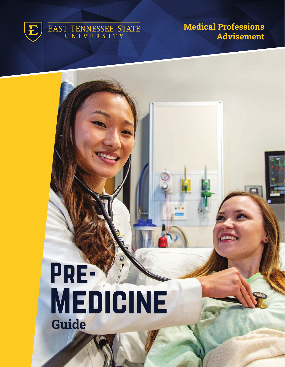

# EAST TENNESSEE STATE

Medical Professions Advisement

# Pre-Medicine Guide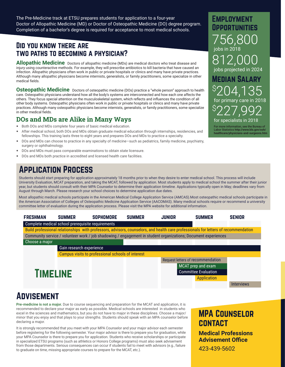The Pre-Medicine track at ETSU prepares students for application to a four-year Doctor of Allopathic Medicine (MD) or Doctor of Osteopathic Medicine (DO) degree program. Completion of a bachelor's degree is required for acceptance to most medical schools.

# Did you know there are two paths to becoming a physician?

**Allopathic Medicine** Doctors of allopathic medicine (MDs) are medical doctors who treat disease and injury using counteractive methods. For example, they will prescribe antibiotics to kill bacteria that have caused an infection. Allopathic physicians often work in public or private hospitals or clinics and many have private practices. Although many allopathic physicians become internists, generalists, or family practitioners, some specialize in other medical fields.

**Osteopathic Medicine** Doctors of osteopathic medicine (DOs) practice a "whole person" approach to health care. Osteopathic physicians understand how all the body's systems are interconnected and how each one affects the others. They focus special attention on the musculoskeletal system, which reflects and influences the condition of all other body systems. Osteopathic physicians often work in public or private hospitals or clinics and many have private practices. Although many osteopathic physicians become internists, generalists, or family practitioners, some specialize in other medical fields.

### DOs and MDs are Alike in Many Ways

- Both DOs and MDs complete four years of basic medical education.
- After medical school, both DOs and MDs obtain graduate medical education through internships, residencies, and fellowships. This training lasts three to eight years and prepares DOs and MDs to practice a specialty.
- DOs and MDs can choose to practice in any specialty of medicine–such as pediatrics, family medicine, psychiatry, surgery or ophthalmology.
- DOs and MDs must pass comparable examinations to obtain state licensure.
- DOs and MDs both practice in accredited and licensed health care facilities.

# Application Process

Students should start preparing for application approximately 18 months prior to when they desire to enter medical school. This process will include University Evaluation, MCAT preparation, and taking the MCAT, followed by application. Most students apply to medical school the summer after their junior year, but students should consult with their MPA Counselor to determine their application timeline. Applications typically open in May; deadlines vary from August through March. Please research your school choices to determine application due dates.

Most allopathic medical schools participate in the American Medical College Application Service (AMCAS).Most osteopathic medical schools participate in the American Association of Colleges of Osteopathic Medicine Application Service (AACOMAS). Many medical schools require or recommend a university committee letter of evaluation during the application process. Please visit the MPA website for additional information.



# **ADVISEMENT**

**Pre-medicine is not a major.** Due to course sequencing and preparation for the MCAT and application, it is recommended to declare your major as early as possible. Medical schools are interested in students who excel in the sciences and mathematics, but you do not have to major in these disciplines. Choose a major/ minor that you enjoy and that plays to your strengths. Students should speak with an MPA counselor before declaring a major.

It is strongly recommended that you meet with your MPA Counselor and your major advisor each semester before registering for the following semester. Your major advisor is there to prepare you for graduation, while your MPA Counselor is there to prepare you for application. Students who receive scholarships or participate in specialized ETSU programs (such as athletics or Honors College programs) must also seek advisement from those departments. Serious consequences can occur if students fail to meet with advisors (e.g., failure to graduate on time, missing appropriate courses to prepare for the MCAT, etc.).

# MPA Counselor **CONTACT**

Employment Opportunities

756,800

812,00

jobs projected in 2024

Median Salary

jobs in 2018

227,992

for primary care in 2018

04.135

For more information, see the Bureau of Labor Statistics **http://www.bls.gov/ooh/ healthcare/physicians-and-surgeons.htm**

for specialists in 2018

\$

\$

**Medical Professions Advisement Office**

423-439-5602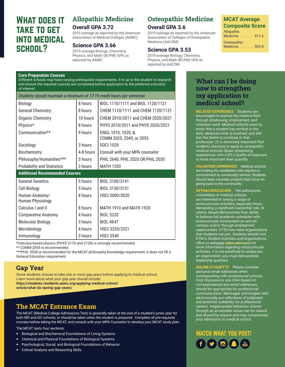# What does it take to get into medical school?

# Allopathic Medicine **Overall GPA 3.72**

Association of Medical Colleges (AAMC)

2019 average as reported by the American

# **Science GPA 3.66**

# Osteopathic Medicine **Overall GPA 3.6**

2019 average as reported by the American Association of Colleges of Osteopathic Medicine (AACOM)

### **Science GPA 3.53**

2019 average Biology, Chemistry, Physics, and Math (BCPM) GPA as reported by AACOM

### **MCAT Average Composite Score** Allopathic

Medicine. . . . . . . . 511.6

**Osteopathic**  $Medicine$ ........503.8

### 2019 average Biology, Chemistry, Physics, and Math (BCPM) GPA as reported by AAMC

| <b>Core Preparation Courses</b><br>Different schools may have varying prerequisite requirements. It is up to the student to research<br>and ensure the required courses are completed before application to the preferred school(s)<br>of interest. |           |                                                |
|-----------------------------------------------------------------------------------------------------------------------------------------------------------------------------------------------------------------------------------------------------|-----------|------------------------------------------------|
| Students should maintain a minimum of 17-19 credit hours per semester.                                                                                                                                                                              |           |                                                |
| Biology                                                                                                                                                                                                                                             | 8 hours   | BIOL 1110/1111 and BIOL 1120/1121              |
| <b>General Chemistry</b>                                                                                                                                                                                                                            | 8 hours   | CHEM 1110/1111 and CHEM 1120/1121              |
| <b>Organic Chemistry</b>                                                                                                                                                                                                                            | 10 hours  | CHEM 2010/2011 and CHEM 2020/2021              |
| Physics*                                                                                                                                                                                                                                            | 8 hours   | PHYS 2010/2011 and PHYS 2020/2021              |
| Communication**                                                                                                                                                                                                                                     | 9 hours   | ENGL 1010, 1020, &<br>COMM 2025, 2045, or 2055 |
| Sociology                                                                                                                                                                                                                                           | 3 hours   | SOCI 1020                                      |
| Biochemistry                                                                                                                                                                                                                                        | 4-8 hours | Consult with your MPA counselor                |
| Philosophy/Humanities***                                                                                                                                                                                                                            | 3 hours   | PHIL 2640, PHIL 2020 OR PHIL 2030              |
| <b>Probability and Statistics</b>                                                                                                                                                                                                                   | 3 hours   | <b>MATH 1530</b>                               |
| <b>Additional Recommended Courses</b>                                                                                                                                                                                                               |           |                                                |
| <b>General Genetics</b>                                                                                                                                                                                                                             | 5 hours   | BIOL 3100/3141                                 |
| <b>Cell Biology</b>                                                                                                                                                                                                                                 | 5 hours   | BIOL 3150/3151                                 |
| Human Anatomy/<br>Human Physiology                                                                                                                                                                                                                  | 8 hours   | HSCI 3000/3020                                 |
| Calculus I and II                                                                                                                                                                                                                                   | 8 hours   | <b>MATH 1910 and MATH 1920</b>                 |
| <b>Comparative Anatomy</b>                                                                                                                                                                                                                          | 4 hours   | <b>BIOL 3220</b>                               |
| <b>Molecular Biology</b>                                                                                                                                                                                                                            | 3 hours   | <b>BIOL 4647</b>                               |
| Microbiology                                                                                                                                                                                                                                        | 4 hours   | HSCI 3320/3321                                 |
| Immunology                                                                                                                                                                                                                                          | 3 hours   | <b>HSCI 3540</b>                               |

\*Calculus-based physics (PHYS 2110 and 2120) is strongly recommended.

\*\* COMM 2055 is recommended

\*\*\*PHIL 2030 is recommended for the MCAT philosophy knowledge requirement; it does not fill a General Education requirement.

# Gap Year

Some students choose to take one or more gap years before applying to medical school. Learn more about what your gap year should include: **https://students-residents.aamc.org/applying-medical-school/** 

**article/what-do-during-gap-years/**

# The MCAT Entrance Exam

The MCAT (Medical College Admissions Test) is generally taken at the end of a student's junior year for both MD and DO schools, or should be taken when the student is prepared. Complete all pre-requisite courses before taking the MCAT, and consult with your MPA Counselor to develop your MCAT study plan.

The MCAT tests four sections:

- Biological and Biochemical Foundations of Living Systems
- Chemical and Physical Foundations of Biological Systems
- Psychological, Social, and Biological Foundations of Behavior
- **Critical Analysis and Reasoning Skills**

## What can I be doing now to strengthen my application to medical school?

**RELATED EXPERIENCE** Students are encouraged to explore the medical field through shadowing, employment, and volunteer work. Medical schools want to know that a student has worked in the field, observed what is involved, and still has the desire to continue in that profession. (It is extremely important that students planning to apply to osteopathic medical schools obtain shadowing experiences with a DO.) Quality of exposure is more important than quantity.

**VOLUNTEER EXPERIENCE** Medical schools are looking for candidates who express a commitment to community service. Students should seek volunteer projects that focus on giving back to the community.

**EXTRACURRICULARS** The admissions committees of medical schools are interested in seeing a range of extracurricular activities, especially those demanding a significant leadership role. St udents should demonstrate their ability to balance full academic schedules with extracurricular involvement on and off campus and/or through employment opportunities. ETSU has many organizations that students can join. Students should visit ETSU's Student Activities and Organizations office or webpage **(etsu.edu/sorc)** for more information regarding extracurricular activities. It is not beneficial to simply join an organization; you must demonstrate leadership qualities!

**ONLINE ETIQUETTE** Please consider personal email addresses when corresponding with professional schools. First impressions are often based on correspondence and email addresses should be appropriate for professional communication. Messages and images sent electronically are reflections of judgment and potential suitability for professional careers. Inappropriate behaviors shared through an accessible venue can be viewed and shared by anyone and may compromise your admission to medical school.

# WATCH WHAT YOU POST!  $\bullet$